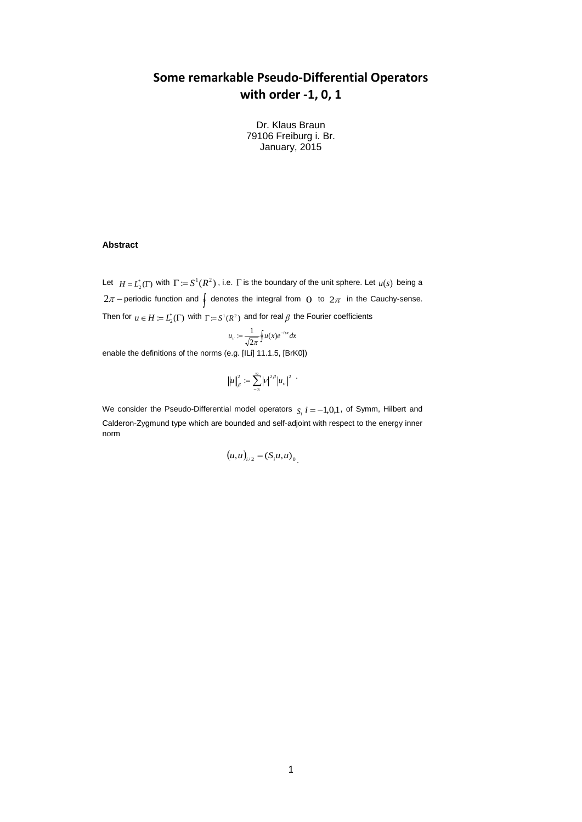# **Some remarkable Pseudo-Differential Operators with order -1, 0, 1**

Dr. Klaus Braun 79106 Freiburg i. Br. January, 2015

#### **Abstract**

Let  $H = L_2^*(\Gamma)$  with  $\Gamma := S^1(R^2)$ , i.e.  $\Gamma$  is the boundary of the unit sphere. Let  $u(s)$  being a  $2\pi$  – periodic function and  $\int$  denotes the integral from O to  $2\pi$  in the Cauchy-sense. Then for  $u \in H := L^*_2(\Gamma)$  with  $\Gamma = S^1(R^2)$  and for real  $\beta$  the Fourier coefficients

$$
u_{v} := \frac{1}{\sqrt{2\pi}} \oint u(x) e^{-i\omega x} dx
$$

enable the definitions of the norms (e.g. [ILi] 11.1.5, [BrK0])

$$
\left\|u\right\|_\beta^2 := \sum_{-\infty}^\infty \left|v\right|^{2\beta} \left|u_v\right|^2
$$

We consider the Pseudo-Differential model operators  $s_i$   $i = -1,0,1$ , of Symm, Hilbert and Calderon-Zygmund type which are bounded and self-adjoint with respect to the energy inner norm

$$
(u,u)_{i/2} = (S_i u, u)_{0}
$$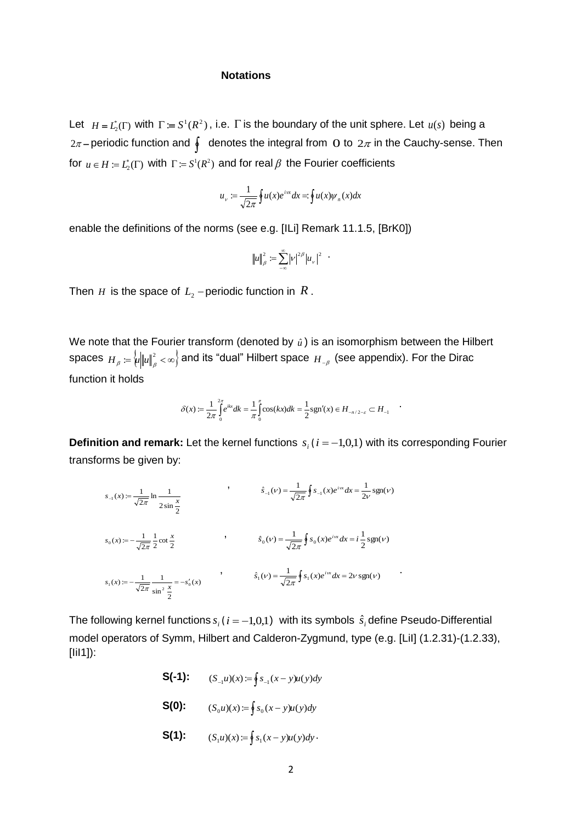#### **Notations**

Let  $H = L_2^*(\Gamma)$  with  $\Gamma := S^1(R^2)$ , i.e.  $\Gamma$  is the boundary of the unit sphere. Let  $u(s)$  being a  $2\pi-$ periodic function and  $\oint$  denotes the integral from  $\, {\rm O}$  to  $\, 2\pi$  in the Cauchy-sense. Then for  $u \in H := L_2^*(\Gamma)$  with  $\Gamma := S^1(R^2)$  and for real  $\beta$  the Fourier coefficients

$$
u_{\nu} := \frac{1}{\sqrt{2\pi}} \oint u(x)e^{i\alpha x} dx = \oint u(x)\psi_n(x)dx
$$

enable the definitions of the norms (see e.g. [ILi] Remark 11.1.5, [BrK0])

$$
||u||_{\beta}^{2} := \sum_{-\infty}^{\infty} |v|^{2\beta} |u_{v}|^{2}
$$
.

Then  $H$  is the space of  $L_2$  – periodic function in  $R$  .

We note that the Fourier transform (denoted by  $\hat{u}$ ) is an isomorphism between the Hilbert spaces  $H_{_\beta}:=\nsim \mu \|u\|^2_{_\beta}<\infty\}$  and its "dual" Hilbert space  $\overline{H_{_{-\beta}}}$  (see appendix). For the Dirac function it holds

$$
\delta(x) := \frac{1}{2\pi} \int_{0}^{2\pi} e^{ikx} dk = \frac{1}{\pi} \int_{0}^{\pi} \cos(kx) dk = \frac{1}{2} \text{sgn}'(x) \in H_{-n/2-\varepsilon} \subset H_{-1}
$$

**Definition and remark:** Let the kernel functions  $s_i$  ( $i = -1,0,1$ ) with its corresponding Fourier transforms be given by:

 $\frac{\lambda}{2}$  $rac{1}{2\pi}$ ln  $rac{1}{2\sin}$  $s_{-1}(x) := \frac{1}{\sqrt{2\pi}} \ln \frac{1}{2 \sin x}$ ,  $\hat{s}_{-1}(v) = \frac{1}{\sqrt{2\pi}} \oint s_{-1}(x) e^{i\omega x} dx = \frac{1}{2v} \text{sgn}(v)$  $\frac{1}{2\pi}\oint s_{-1}(x)e^{i\omega x}dx = \frac{1}{2\nu}$  $\hat{s}_{-1}(v) = \frac{1}{\sqrt{2\pi}} \oint s_{-1}(x) e^{i\alpha x} dx = \frac{1}{2v} \text{sgn}(v)$  $\frac{1}{2} \cot \frac{\pi}{2}$ 1  $\mathbf{2}$  $s_0(x) := -\frac{1}{\sqrt{2\pi}} \frac{1}{2} \cot \frac{x}{2}$  ,  $\hat{s}_0(\nu) = \frac{1}{\sqrt{2\pi}} \oint s_0(x) e^{i\omega x} dx = i \frac{1}{2} \text{sgn}(\nu)$  $\frac{1}{2\pi}\oint s_0(x)e^{i\omega x}dx = i\frac{1}{2}$  $\hat{s}_0(\nu) = \frac{1}{\sqrt{2\pi}} \oint s_0(x) e^{i\omega x} dx = i \frac{1}{2}$  sgn(*v*)  $(x)$  $\sin^2 \frac{\pi}{2}$ 1  $2<sub>i</sub>$  $s_1(x) := -\frac{1}{\sqrt{2\pi}} \frac{1}{\sin^2 x} = -s'_0(x)$ ,  $\hat{s}_1(v) = \frac{1}{\sqrt{2\pi}} \oint s_1(x) e^{i\alpha} dx = 2v \operatorname{sgn}(v)$  $\hat{s}_1(v) = \frac{1}{\sqrt{2\pi}} \oint s_1(x) e^{i\alpha x} dx = 2v \operatorname{sgn}(v)$ 

The following kernel functions  $s_i$  ( $i = -1,0,1$ ) with its symbols  $\hat{s}_i$  define Pseudo-Differential model operators of Symm, Hilbert and Calderon-Zygmund, type (e.g. [LiI] (1.2.31)-(1.2.33), [IiI1]):

- **S(-1):**  $(S_{-1}u)(x) := \oint s_{-1}(x-y)u(y)dy$  **S(0):**  $(S_0 u)(x) := \oint s_0(x - y)u(y)dy$
- **S(1):**  $(S_1 u)(x) := \oint s_1(x y)u(y)dy$ .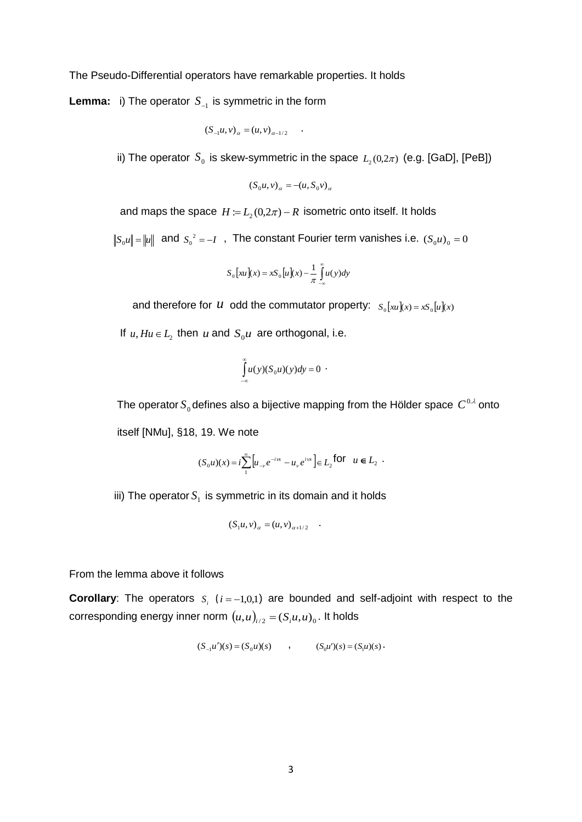The Pseudo-Differential operators have remarkable properties. It holds

**Lemma:** i) The operator  $S_{-1}$  is symmetric in the form

$$
(S_{-1}u, v)_{\alpha} = (u, v)_{\alpha - 1/2}
$$

ii) The operator  $S_0$  is skew-symmetric in the space  $L_2(0,2\pi)$  (e.g. [GaD], [PeB])

.

$$
(S_0 u, v)_\alpha = -(u, S_0 v)_\alpha
$$

and maps the space  $H \coloneqq L_{2}(0,2\pi) - R$  isometric onto itself. It holds

 $S_0 u$  =  $\| u \|$  and  $S_0^{\;\; 2} = -I$  , The constant Fourier term vanishes i.e.  $(S_0 u)_0 = 0$ 

$$
S_0\big[xu\big](x) = xS_0\big[u\big](x) - \frac{1}{\pi}\int\limits_{-\infty}^{\infty} u(y)dy
$$

and therefore for  $u$  odd the commutator property:  $s_0[xu](x) = x s_0[u](x)$ 

If  $u, Hu \in L_2$  then  $u$  and  $S_0u$  are orthogonal, i.e.

$$
\int_{-\infty}^{\infty} u(y)(S_0 u)(y) dy = 0
$$
.

The operator  $S^{}_{0}$  defines also a bijective mapping from the Hölder space  $\,C^{\,0. \lambda}$  onto itself [NMu], §18, 19. We note

.

$$
(S_0 u)(x) = i \sum_{1}^{\infty} \left[ u_{-\nu} e^{-i\omega x} - u_{\nu} e^{i\omega x} \right] \in L_2^{\text{ for }} u \in L_2 .
$$

iii) The operator  $S_1$  is symmetric in its domain and it holds

$$
(S_1u, v)_{\alpha} = (u, v)_{\alpha+1/2}
$$

From the lemma above it follows

**Corollary**: The operators  $S_i$  ( $i = -1,0,1$ ) are bounded and self-adjoint with respect to the corresponding energy inner norm  $(u,u)_{i/2} = (S_i u, u)_0$ . It holds

$$
(S_{-1}u')(s) = (S_0u)(s) \qquad , \qquad (S_0u')(s) = (S_1u)(s) \, .
$$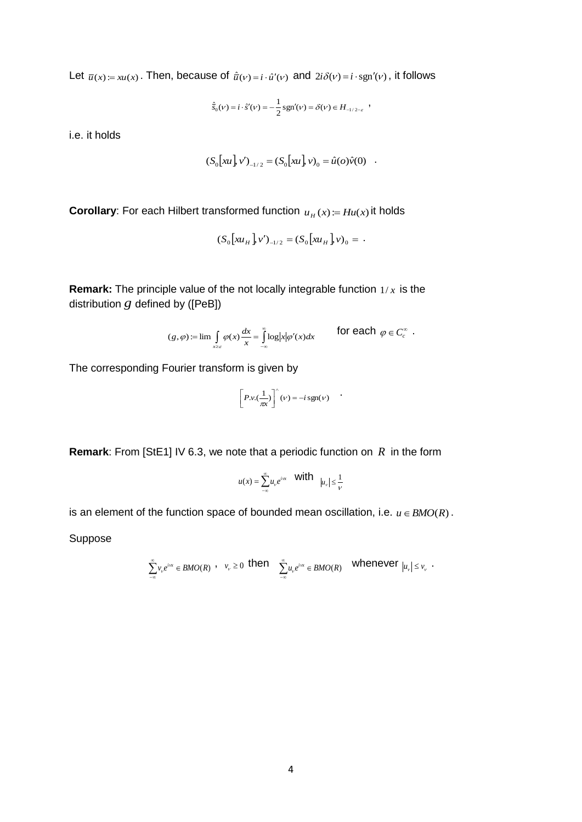Let  $\bar{u}(x) := xu(x)$ . Then, because of  $\hat{u}(v) = i \cdot \hat{u}'(v)$  and  $2i\delta(v) = i \cdot \text{sgn}'(v)$ , it follows

$$
\hat{\vec{s}}_0(\nu) = i \cdot \hat{s}'(\nu) = -\frac{1}{2} \operatorname{sgn}'(\nu) = \delta(\nu) \in H_{-1/2 - \varepsilon} ,
$$

i.e. it holds

$$
(S_0[xu], v')_{-1/2} = (S_0[xu], v)_0 = \hat{u}(o)\hat{v}(0) .
$$

**Corollary**: For each Hilbert transformed function  $u_H(x) = Hu(x)$  it holds

$$
(S_0[xu_H]v')_{-1/2} = (S_0[xu_H]v)_0 = .
$$

**Remark:** The principle value of the not locally integrable function 1/ *x* is the distribution *g* defined by ([PeB])

$$
(g,\varphi) := \lim_{x \to \varepsilon} \int_{x \in \varepsilon} \varphi(x) \frac{dx}{x} = \int_{-\infty}^{\infty} \log |x| \varphi'(x) dx \qquad \text{for each } \varphi \in C_c^{\infty}.
$$

The corresponding Fourier transform is given by

$$
\[P.v.(\frac{1}{\pi x})\]^\wedge(v) = -i\,\text{sgn}(v)
$$

.

**Remark**: From [StE1] IV 6.3, we note that a periodic function on *R* in the form

$$
u(x)=\sum_{-\infty}^\infty u_\nu e^{i\omega x}\quad\text{with}\quad |u_\nu|\leq \frac{1}{\nu}
$$

is an element of the function space of bounded mean oscillation, i.e.  $u \in BMO(R)$ .

Suppose

$$
\sum_{-\infty}^{\infty}v_{v}e^{i\alpha x}\in BMO(R)\ ,\quad v_{v}\geq 0\ \ \text{then}\quad \ \sum_{-\infty}^{\infty}u_{v}e^{i\alpha x}\in BMO(R)\quad \ \text{whenever}\ \ |u_{v}|\leq v_{v}\ \ .
$$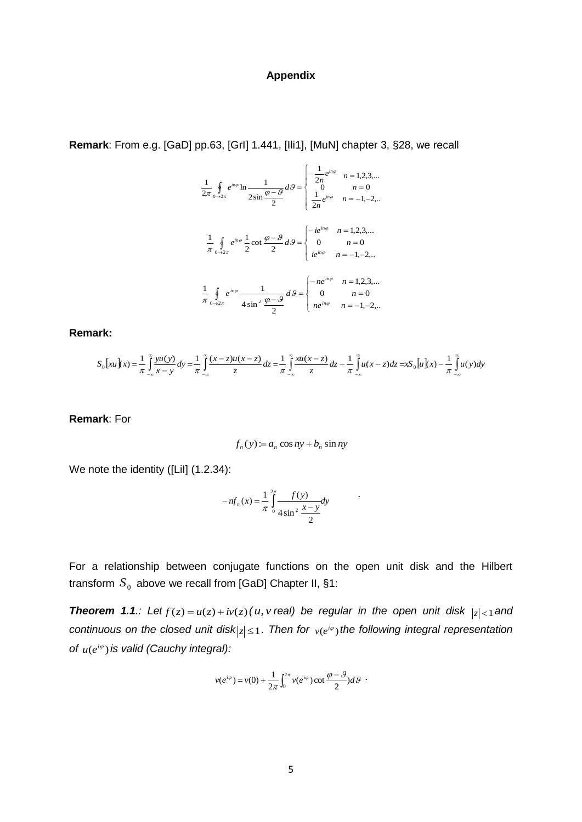# **Appendix**

**Remark**: From e.g. [GaD] pp.63, [GrI] 1.441, [Ili1], [MuN] chapter 3, §28, we recall

$$
\frac{1}{2\pi} \oint_{0 \to 2\pi} e^{in\varphi} \ln \frac{1}{2\sin \frac{\varphi - \vartheta}{2}} d\vartheta = \begin{cases} -\frac{1}{2n} e^{in\varphi} & n = 1, 2, 3, ... \\ 0 & n = 0 \\ \frac{1}{2n} e^{in\varphi} & n = -1, -2, ... \end{cases}
$$

$$
\frac{1}{\pi} \oint_{0 \to 2\pi} e^{in\varphi} \frac{1}{2} \cot \frac{\varphi - \vartheta}{2} d\vartheta = \begin{cases} -ie^{in\varphi} & n = 1, 2, 3, ... \\ 0 & n = 0 \\ ie^{in\varphi} & n = -1, -2, ... \end{cases}
$$

$$
\frac{1}{\pi} \oint_{0 \to 2\pi} e^{in\varphi} \frac{1}{4\sin^2 \frac{\varphi - \vartheta}{2}} d\vartheta = \begin{cases} -ne^{in\varphi} & n = 1, 2, 3, ... \\ 0 & n = 0 \\ ne^{in\varphi} & n = -1, -2, ... \end{cases}
$$

**Remark:** 

$$
S_0\big[xu\big](x) = \frac{1}{\pi} \int_{-\infty}^{\infty} \frac{yu(y)}{x-y} dy = \frac{1}{\pi} \int_{-\infty}^{\infty} \frac{(x-z)u(x-z)}{z} dz = \frac{1}{\pi} \int_{-\infty}^{\infty} \frac{xu(x-z)}{z} dz - \frac{1}{\pi} \int_{-\infty}^{\infty} u(x-z) dz = xS_0\big[u\big](x) - \frac{1}{\pi} \int_{-\infty}^{\infty} u(y) dy
$$

**Remark**: For

$$
f_n(y) := a_n \cos ny + b_n \sin ny
$$

We note the identity ([Lil] (1.2.34):

$$
-nf_n(x) = \frac{1}{\pi} \int_{0}^{2\pi} \frac{f(y)}{4\sin^2 \frac{x-y}{2}} dy
$$

For a relationship between conjugate functions on the open unit disk and the Hilbert transform  $\overline{S}_0$  above we recall from [GaD] Chapter II, §1:

**Theorem 1.1***.:* Let  $f(z) = u(z) + iv(z)$  (u, v real) be regular in the open unit disk  $|z| < 1$  and continuous on the closed unit disk $|z| \leq 1$ . Then for  $v(e^{i\varphi})$  the following integral representation of  $u(e^{i\varphi})$  is valid (Cauchy integral):

$$
v(e^{i\varphi}) = v(0) + \frac{1}{2\pi} \int_0^{2\pi} v(e^{i\varphi}) \cot \frac{\varphi - \vartheta}{2} d\vartheta
$$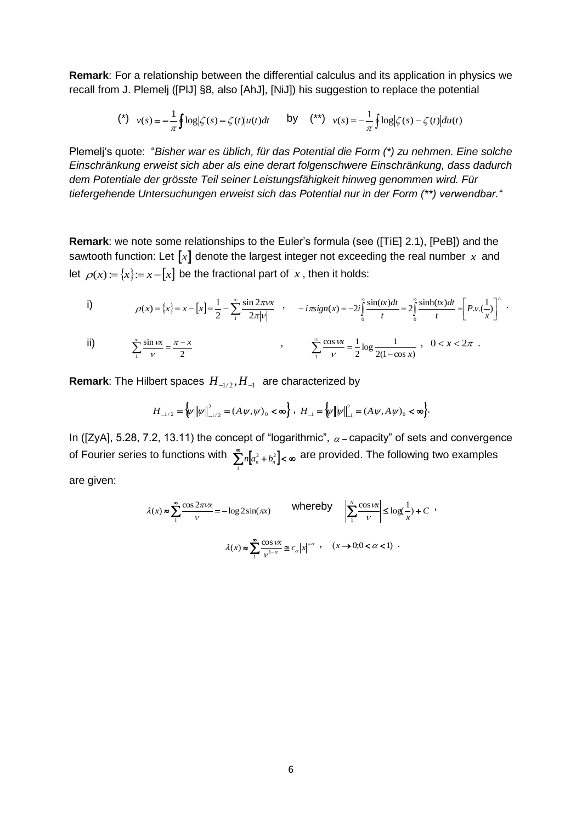**Remark**: For a relationship between the differential calculus and its application in physics we recall from J. Plemelj ([PlJ] §8, also [AhJ], [NiJ]) his suggestion to replace the potential

$$
(*)\quad v(s) = -\frac{1}{\pi} \oint \log|\zeta(s) - \zeta(t)|u(t)dt \qquad \text{by} \qquad (*) \qquad (*) = -\frac{1}{\pi} \oint \log|\zeta(s) - \zeta(t)|du(t)
$$

Plemelj's quote: "*Bisher war es üblich, für das Potential die Form (\*) zu nehmen. Eine solche Einschränkung erweist sich aber als eine derart folgenschwere Einschränkung, dass dadurch dem Potentiale der grösste Teil seiner Leistungsfähigkeit hinweg genommen wird. Für tiefergehende Untersuchungen erweist sich das Potential nur in der Form (\*\*) verwendbar."*

**Remark**: we note some relationships to the Euler's formula (see ([TiE] 2.1), [PeB]) and the sawtooth function: Let  $\llbracket x \rrbracket$  denote the largest integer not exceeding the real number  $x$  and let  $\rho(x) = \{x\} = x - \lceil x \rceil$  be the fractional part of x, then it holds:

i) 
$$
\rho(x) = \{x\} = x - [x] = \frac{1}{2} - \sum_{1}^{\infty} \frac{\sin 2\pi v x}{2\pi |v|} , \quad -i\pi sign(x) = -2i \int_{0}^{\infty} \frac{\sin(tx) dt}{t} = 2 \int_{0}^{\infty} \frac{\sinh(tx) dt}{t} = \left[ P.v.(\frac{1}{x}) \right]^{2} .
$$

ii) 
$$
\sum_{1}^{\infty} \frac{\sin \nu x}{\nu} = \frac{\pi - x}{2}
$$
, 
$$
\sum_{1}^{\infty} \frac{\cos \nu x}{\nu} = \frac{1}{2} \log \frac{1}{2(1 - \cos x)}, \quad 0 < x < 2\pi
$$
.

**Remark**: The Hilbert spaces  $H_{-1/2}, H_{-1}$  are characterized by

$$
H_{-1/2} = \big\{\!\!\psi\big\|\!\!\big|\psi\big\|^2_{-1/2} = (A\,\psi,\psi)_0 < \infty\big\} \;, \; H_{-1} = \big\{\!\!\big\|\!\!\big|\psi\big\|^2_{-1} = (A\,\psi,A\,\psi)_0 < \infty\big\}.
$$

In ([ZyA], 5.28, 7.2, 13.11) the concept of "logarithmic",  $\alpha$  – capacity" of sets and convergence of Fourier series to functions with  $\sum_{n}^{\infty} n \left[a_n^2 + b_n^2\right] < \infty$ 1  $n[a_n^2 + b_n^2] < \infty$  are provided. The following two examples are given:

$$
\lambda(x) \approx \sum_{1}^{\infty} \frac{\cos 2\pi vx}{v} = -\log 2\sin(\pi x) \qquad \text{whereby} \qquad \left| \sum_{1}^{N} \frac{\cos vx}{v} \right| \le \log(\frac{1}{x}) + C,
$$

$$
\lambda(x) \approx \sum_{1}^{\infty} \frac{\cos vx}{v^{1-\alpha}} \approx c_{\alpha} |x|^{-\alpha}, \quad (x \to 0; 0 < \alpha < 1).
$$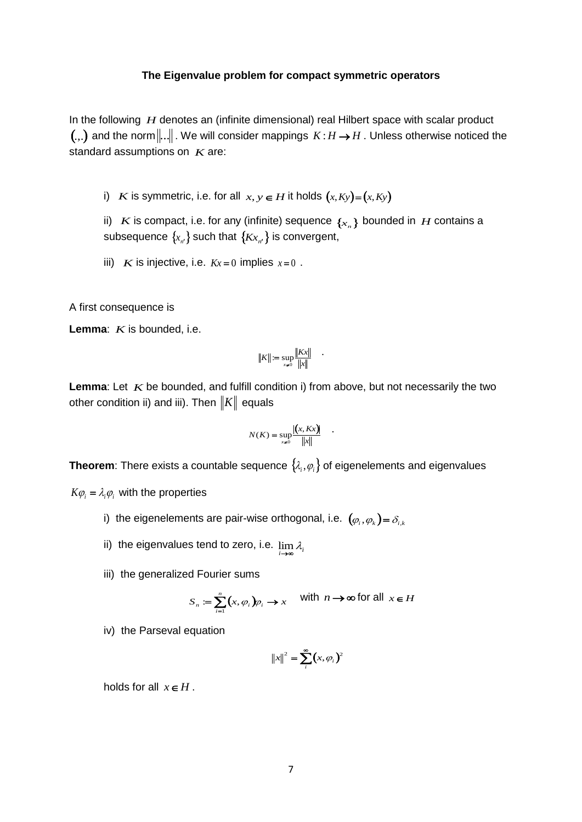### **The Eigenvalue problem for compact symmetric operators**

In the following H denotes an (infinite dimensional) real Hilbert space with scalar product (.,.) and the norm $\|...\|$  . We will consider mappings  $K$  :  $H \to H$  . Unless otherwise noticed the standard assumptions on *K* are:

i) *K* is symmetric, i.e. for all  $x, y \in H$  it holds  $(x, Ky) = (x, Ky)$ 

ii)  $K$  is compact, i.e. for any (infinite) sequence  $\{x_n\}$  bounded in  $H$  contains a subsequence  $\{_{\mathcal{X}_{n'}}\}$  such that  $\{_{\mathcal{K}_{\mathcal{X}_{n'}}\}}$  is convergent,

iii) *K* is injective, i.e.  $Kx = 0$  implies  $x=0$ .

A first consequence is

Lemma: *K* is bounded, i.e.

$$
||K|| := \sup_{x \neq 0} \frac{||Kx||}{||x||} \qquad \qquad
$$

Lemma: Let  $K$  be bounded, and fulfill condition i) from above, but not necessarily the two other condition ii) and iii). Then  $||K||$  equals

$$
N(K) = \sup_{x \neq 0} \frac{|(x, Kx)|}{\|x\|} .
$$

**Theorem**: There exists a countable sequence  $\{\lambda_i, \varphi_i\}$  of eigenelements and eigenvalues

 $K\varphi$ <sub>*i*</sub> =  $\lambda$ <sub>*i*</sub> $\varphi$ <sub>*i*</sub> with the properties

- i) the eigenelements are pair-wise orthogonal, i.e.  $\left(\mathbf{\varphi}_{i}, \mathbf{\varphi}_{k}\right)$  =  $\mathbf{\delta}_{i, k}$
- ii) the eigenvalues tend to zero, i.e.  $\lim\limits_{i\rightarrow\infty}\lambda_i$
- iii) the generalized Fourier sums

$$
S_n := \sum_{i=1}^n (x, \varphi_i) \varphi_i \to x \quad \text{with } n \to \infty \text{ for all } x \in H
$$

iv) the Parseval equation

$$
||x||^2 = \sum_i^{\infty} (x, \varphi_i)^2
$$

holds for all  $x \in H$ .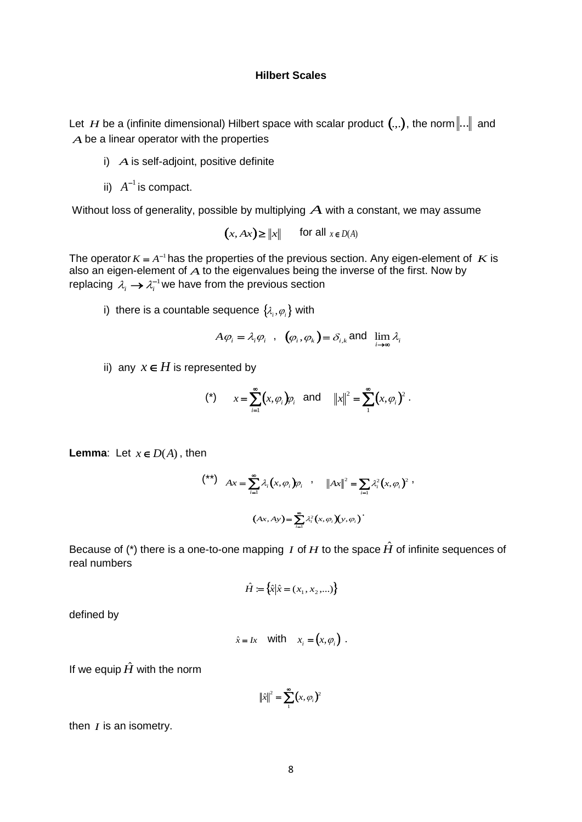# **Hilbert Scales**

Let  $H$  be a (infinite dimensional) Hilbert space with scalar product  $(.,.)$ , the norm $\|...\|$  and *A* be a linear operator with the properties

- i) *A* is self-adjoint, positive definite
- ii)  $A^{-1}$  is compact.

Without loss of generality, possible by multiplying  $\boldsymbol{A}$  with a constant, we may assume

$$
(x, Ax) \ge ||x||
$$
 for all  $x \in D(A)$ 

The operator  $K = A^{-1}$  has the properties of the previous section. Any eigen-element of  $K$  is also an eigen-element of  $\overline{A}$  to the eigenvalues being the inverse of the first. Now by replacing  $\lambda_i \rightarrow \lambda_i^{-1}$  we have from the previous section

i) there is a countable sequence  $\left\{ \mathcal{X}_{i},\varphi_{i}\right\}$  with

$$
A\varphi_i = \lambda_i \varphi_i
$$
,  $(\varphi_i, \varphi_k) = \delta_{i,k}$  and  $\lim_{i \to \infty} \lambda_i$ 

ii) any  $x \in H$  is represented by

(\*) 
$$
x = \sum_{i=1}^{\infty} (x, \varphi_i) \varphi_i
$$
 and  $||x||^2 = \sum_{i=1}^{\infty} (x, \varphi_i)^2$ .

**Lemma:** Let  $x \in D(A)$ , then

$$
\begin{aligned}\n\binom{**}{\ast} \quad & Ax = \sum_{i=1}^{\infty} \lambda_i \big( x, \varphi_i \big) \varphi_i \quad , \quad \left\| Ax \right\|^2 = \sum_{i=1} \lambda_i^2 \big( x, \varphi_i \big)^2 \,, \\
& \big( Ax, Ay \big) = \sum_{i=1}^{\infty} \lambda_i^2 \big( x, \varphi_i \big) \big( y, \varphi_i \big) \, .\n\end{aligned}
$$

Because of (\*) there is a one-to-one mapping *I* of  $H$  to the space  $\hat{H}$  of infinite sequences of real numbers

$$
\hat{H} := \{ \hat{x} | \hat{x} = (x_1, x_2, \ldots) \}
$$

defined by

$$
\hat{x} = Ix \quad \text{with} \quad x_i = (x, \varphi_i) \ .
$$

If we equip  $\hat{H}$  with the norm

$$
\|\hat{x}\|^2 = \sum_{i}^{\infty} (x, \varphi_i)^2
$$

then *I* is an isometry.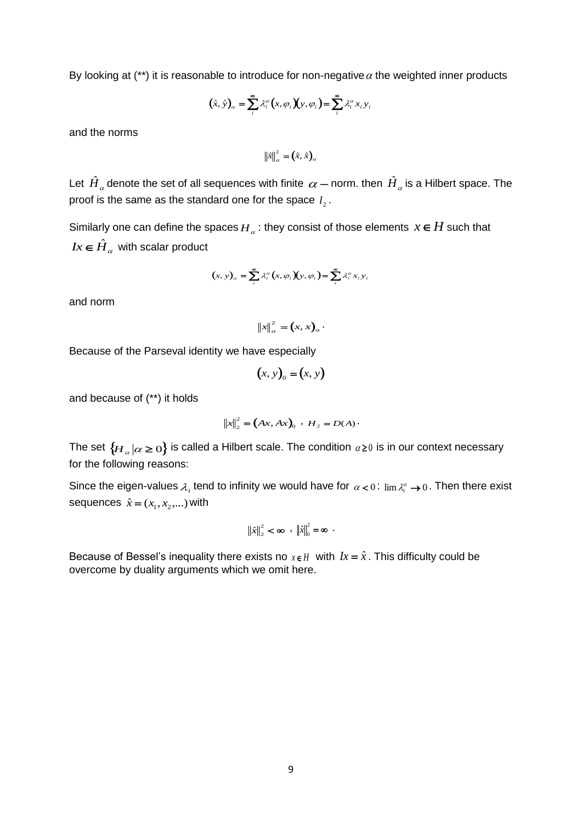By looking at (\*\*) it is reasonable to introduce for non-negative  $\alpha$  the weighted inner products

$$
(\hat{x}, \hat{y})_{\alpha} = \sum_{i}^{\infty} \lambda_i^{\alpha} (x, \varphi_i)(y, \varphi_i) = \sum_{i}^{\infty} \lambda_i^{\alpha} x_i y_i
$$

and the norms

$$
\left\|\hat{x}\right\|_{\alpha}^{2} = (\hat{x}, \hat{x})_{\alpha}
$$

Let  $\hat{H}_a$  denote the set of all sequences with finite  $\,\alpha-$  norm. then  $\hat{H}_a$  is a Hilbert space. The proof is the same as the standard one for the space  $l_2^{}$  .

Similarly one can define the spaces  $H_\alpha$ : they consist of those elements  $x \in H$  such that  $Ix \in \hat{H}_{\alpha}$  with scalar product

$$
(x, y)_\alpha = \sum_i^{\infty} \lambda_i^{\alpha} (x, \varphi_i)(y, \varphi_i) = \sum_i^{\infty} \lambda_i^{\alpha} x_i y_i
$$

and norm

 $x\|_{\alpha}^{2} = (x, x)_{\alpha}$ .

Because of the Parseval identity we have especially

$$
(x, y)0 = (x, y)
$$

and because of (\*\*) it holds

$$
||x||_2^2 = (Ax, Ax)_0 : H_2 = D(A) \cdot
$$

The set  $\{H_\alpha|\alpha\geq 0\}$  is called a Hilbert scale. The condition  $\alpha$   $\geq$  0 is in our context necessary for the following reasons:

Since the eigen-values  $\lambda_i$  tend to infinity we would have for  $\alpha < 0$ :  $\lim \lambda_i^{\alpha} \to 0$ . Then there exist sequences  $\hat{x} = (x_1, x_2, ...)$  with

$$
\left\|\hat{x}\right\|_{2}^{2} < \infty , \quad \left\|\hat{x}\right\|_{0}^{2} = \infty .
$$

Because of Bessel's inequality there exists no  $x \in H$  with  $Ix = \hat{x}$ . This difficulty could be overcome by duality arguments which we omit here.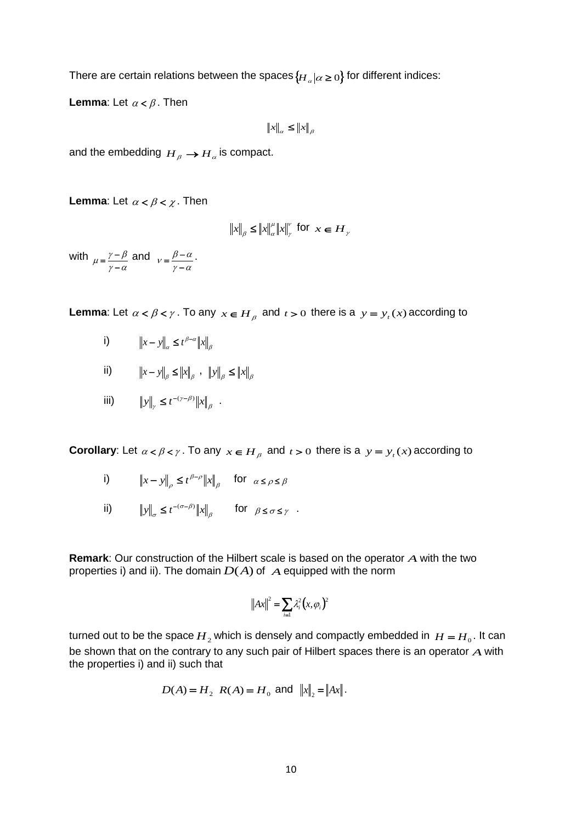There are certain relations between the spaces  $\{\overline{H}_\alpha|\alpha\geq 0\}$  for different indices:

**Lemma**: Let  $\alpha < \beta$ . Then

 $\left\|x\right\|_{\alpha} \leq \left\|x\right\|_{\beta}$ 

and the embedding  $\overline{H}_{\overline{\beta}} \to \overline{H}_{\alpha}$  is compact.

**Lemma**: Let  $\alpha < \beta < \chi$ . Then

$$
||x||_{\beta} \le ||x||_{\alpha}^{\mu} ||x||_{\gamma}^{\nu} \text{ for } x \in H_{\gamma}
$$

with  $\gamma - \alpha$  $\mu = \frac{\gamma - \beta}{\gamma - \alpha}$  $=\frac{\gamma-\beta}{2}$  and  $\gamma - \alpha$  $v = \frac{\beta - \alpha}{\gamma - \alpha}$  $=\frac{\beta-\alpha}{\alpha}$ .

**Lemma**: Let  $\alpha < \beta < \gamma$ . To any  $x \in H_\beta$  and  $t > 0$  there is a  $y = y_t(x)$  according to

- i)  $||x y||_{\alpha} \leq t^{\beta \alpha} ||x||_{\beta}$  $||x - y||_{\alpha} \leq t^{\beta - \alpha} ||x||$
- ii)  $\|x y\|_{\beta} \le \|x\|_{\beta}$ ,  $\|y\|_{\beta} \le \|x\|_{\beta}$
- iii)  $||y||_y \le t^{-(\gamma-\beta)} ||x||_{\beta}$  $\gamma-\beta$  $y\|_{\gamma} \leq t^{-(\gamma-\beta)} \|x\|_{\beta}$ .

**Corollary**: Let  $\alpha < \beta < \gamma$ . To any  $x \in H_\beta$  and  $t > 0$  there is a  $y = y_t(x)$  according to

- i)  $||x y||_{\rho} \le t^{\beta \rho} ||x||_{\beta}$  $_{\beta-\rho}$  $||x - y||_{\rho} \le t^{\beta - \rho} ||x||_{\beta}$  for  $\alpha \le \rho \le \beta$
- ii)  $||y||_{\sigma} \leq t^{-(\sigma-\beta)} ||x||_{\beta}$  $\|y\|_{\sigma} \leq t^{-(\sigma-\beta)} \|x\|_{\beta}$  for  $\beta \leq \sigma \leq \gamma$

**Remark**: Our construction of the Hilbert scale is based on the operator *A* with the two properties i) and ii). The domain  $D(A)$  of  $A$  equipped with the norm

$$
||Ax||^2 = \sum_{i=1} \lambda_i^2 (x, \varphi_i)^2
$$

turned out to be the space  $H_2$  which is densely and compactly embedded in  $H = H_0$ . It can be shown that on the contrary to any such pair of Hilbert spaces there is an operator *A* with the properties i) and ii) such that

$$
D(A) = H_2
$$
  $R(A) = H_0$  and  $||x||_2 = ||Ax||$ .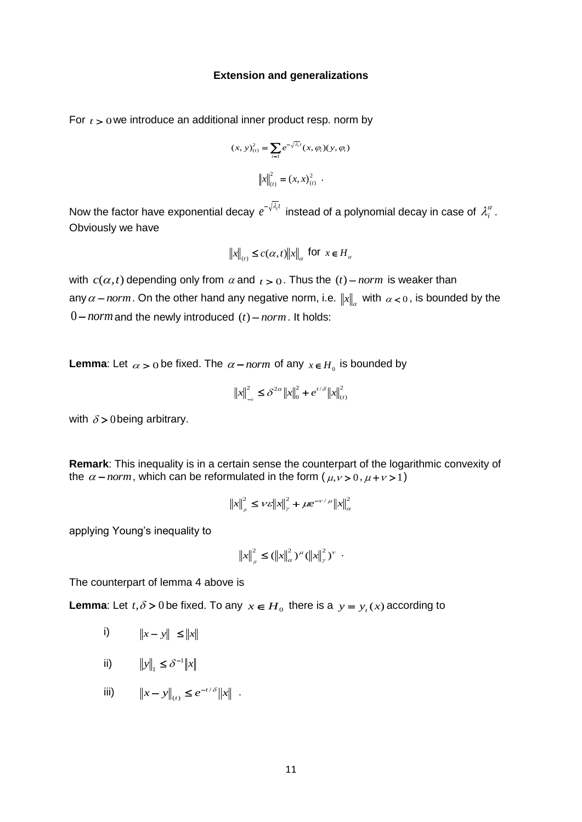#### **Extension and generalizations**

For  $t > 0$  we introduce an additional inner product resp. norm by

$$
(x, y)_{(t)}^2 = \sum_{i=1} e^{-\sqrt{\lambda_i}t} (x, \varphi_i)(y, \varphi_i)
$$

$$
\left\| x \right\|_{(t)}^2 = (x, x)_{(t)}^2.
$$

Now the factor have exponential decay  $e^{-\sqrt{\lambda_i}t}$  instead of a polynomial decay in case of  $\lambda_i^{\alpha}$ . Obviously we have

$$
\|x\|_{(t)} \le c(\alpha, t) \|x\|_{\alpha} \text{ for } x \in H_{\alpha}
$$

with  $c(\alpha, t)$  depending only from  $\alpha$  and  $t > 0$ . Thus the  $(t)$  – *norm* is weaker than any  $\alpha$  – norm. On the other hand any negative norm, i.e.  $||x||_{\alpha}$  with  $\alpha$  < 0, is bounded by the  $0$  – norm and the newly introduced  $(t)$  – norm. It holds:

**Lemma**: Let  $\alpha > 0$  be fixed. The  $\alpha$  – *norm* of any  $x \in H_0$  is bounded by

$$
\|x\|_{-\alpha}^2 \le \delta^{2\alpha} \|x\|_0^2 + e^{t/\delta} \|x\|_{(t)}^2
$$

with  $\delta$  > 0 being arbitrary.

**Remark**: This inequality is in a certain sense the counterpart of the logarithmic convexity of the  $\alpha$  – *norm*, which can be reformulated in the form ( $\mu$ ,  $\nu$  > 0,  $\mu$  +  $\nu$  > 1)

$$
\left\|x\right\|_{\rho}^{2} \leq \nu \varepsilon \left\|x\right\|_{\gamma}^{2} + \mu e^{-\nu/\mu} \left\|x\right\|_{\alpha}^{2}
$$

applying Young's inequality to

$$
||x||_{\rho}^{2} \leq (||x||_{\alpha}^{2})^{\mu} (||x||_{\gamma}^{2})^{\nu} .
$$

The counterpart of lemma 4 above is

**Lemma**: Let  $t, \delta > 0$  be fixed. To any  $x \in H_0$  there is a  $y = y_t(x)$  according to

- i)  $||x - y|| \le ||x||$
- ii)  $||y||_1 \le \delta^{-1} ||x||_1$  $\delta_1$
- iii)  $||x y||_{(t)} \leq e^{-t/\delta} ||x|$ *t*  $/ \delta$  $(t)$  $- y \|_{(t)} \leq e^{-t/\delta} \|x\|$ .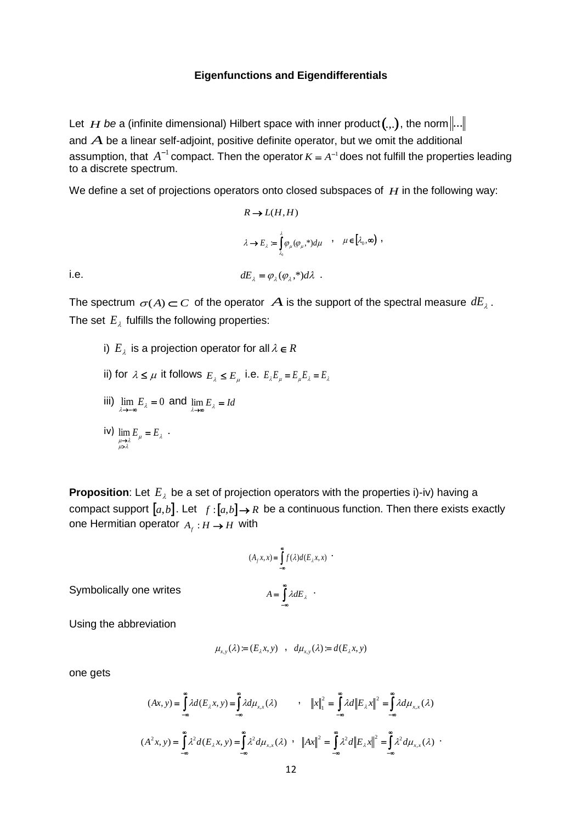### **Eigenfunctions and Eigendifferentials**

Let  $\,H$  be a (infinite dimensional) Hilbert space with inner product $(.,.)$ , the norm $\|...\,$ and *A* be a linear self-adjoint, positive definite operator, but we omit the additional assumption, that  $A^{-1}$  compact. Then the operator  $K = A^{-1}$  does not fulfill the properties leading to a discrete spectrum.

We define a set of projections operators onto closed subspaces of  $H$  in the following way:

,

$$
R \to L(H, H)
$$
  
\n
$$
\lambda \to E_{\lambda} = \int_{\lambda_0}^{\lambda} \varphi_{\mu}(\varphi_{\mu},*) d\mu \quad , \quad \mu \in [\lambda_0, \infty)
$$
  
\n
$$
dE_{\lambda} = \varphi_{\lambda}(\varphi_{\lambda}, *) d\lambda \quad .
$$

i.e.

The spectrum  $\sigma(A)$   $\subset$  C of the operator  $\ A$  is the support of the spectral measure  $dE_{\lambda}$  . The set  $E_{\lambda}$  fulfills the following properties:

i)  $E_{\lambda}$  is a projection operator for all  $\lambda \in R$ ii) for  $\lambda \le \mu$  it follows  $E_{\lambda} \le E_{\mu}$  i.e.  $E_{\lambda}E_{\mu} = E_{\mu}E_{\lambda} = E_{\lambda}$ iii)  $\lim_{\lambda \to -\infty} E_{\lambda} = 0$  and  $\lim_{\lambda \to \infty} E_{\lambda} = Id$ iv)  $\lim_{\mu \to 0} E_{\mu} = E_{\lambda}$  $\lim_{\mu \to \lambda} E_{\mu} = E_{\lambda}$  $\lim_{\substack{\mu\to\lambda\\ \mu>\lambda}} E_{\mu} = E_{\lambda} .$ 

**Proposition**: Let  $E_{\lambda}$  be a set of projection operators with the properties i)-iv) having a compact support  $[a,b]$ . Let  $f:[a,b] \to \mathbb{R}$  be a continuous function. Then there exists exactly one Hermitian operator  $A_f : H \to H$  with

$$
(A_f x, x) = \int_{-\infty}^{\infty} f(\lambda) d(E_{\lambda} x, x)
$$

$$
A = \int_{-\infty}^{\infty} \lambda dE_{\lambda}
$$

Symbolically one writes

Using the abbreviation

$$
\mu_{x,y}(\lambda) := (E_{\lambda} x, y) \quad , \quad d\mu_{x,y}(\lambda) := d(E_{\lambda} x, y)
$$

one gets

$$
(Ax, y) = \int_{-\infty}^{\infty} \lambda d(E_{\lambda}x, y) = \int_{-\infty}^{\infty} \lambda d\mu_{x,x}(\lambda) \qquad , \quad ||x||_{1}^{2} = \int_{-\infty}^{\infty} \lambda d||E_{\lambda}x||^{2} = \int_{-\infty}^{\infty} \lambda d\mu_{x,x}(\lambda)
$$

$$
(A^{2}x, y) = \int_{-\infty}^{\infty} \lambda^{2} d(E_{\lambda}x, y) = \int_{-\infty}^{\infty} \lambda^{2} d\mu_{x,x}(\lambda) \qquad , \quad ||Ax||^{2} = \int_{-\infty}^{\infty} \lambda^{2} d||E_{\lambda}x||^{2} = \int_{-\infty}^{\infty} \lambda^{2} d\mu_{x,x}(\lambda)
$$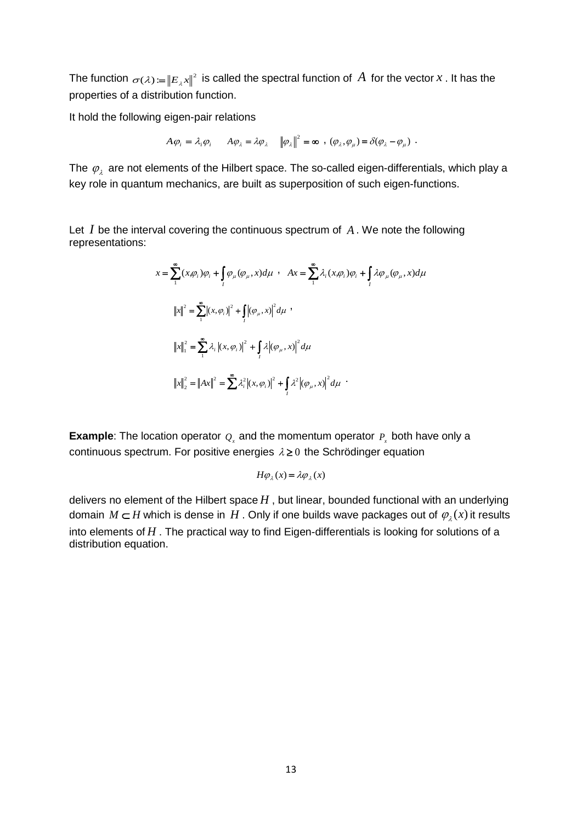The function  $\sigma(\lambda) := ||E_{\lambda}x||^2$  is called the spectral function of  $A$  for the vector  $x$  . It has the properties of a distribution function.

It hold the following eigen-pair relations

$$
A\varphi_i = \lambda_i \varphi_i \qquad A\varphi_\lambda = \lambda \varphi_\lambda \qquad \left\|\varphi_\lambda\right\|^2 = \infty \quad , \quad (\varphi_\lambda, \varphi_\mu) = \delta(\varphi_\lambda - \varphi_\mu) \quad .
$$

The  $\,\varphi_{_{\lambda}}\,$  are not elements of the Hilbert space. The so-called eigen-differentials, which play a key role in quantum mechanics, are built as superposition of such eigen-functions.

Let  $I$  be the interval covering the continuous spectrum of  $A$ . We note the following representations:

$$
x = \sum_{1}^{\infty} (x, \varphi_i) \varphi_i + \int_I \varphi_{\mu} (\varphi_{\mu}, x) d\mu \quad A x = \sum_{1}^{\infty} \lambda_i (x, \varphi_i) \varphi_i + \int_I \lambda \varphi_{\mu} (\varphi_{\mu}, x) d\mu
$$
  

$$
||x||^2 = \sum_{1}^{\infty} |(x, \varphi_i)|^2 + \int_I |(\varphi_{\mu}, x)|^2 d\mu
$$
  

$$
||x||_1^2 = \sum_{1}^{\infty} \lambda_i |(x, \varphi_i)|^2 + \int_I \lambda |(\varphi_{\mu}, x)|^2 d\mu
$$
  

$$
||x||_2^2 = ||Ax||^2 = \sum_{1}^{\infty} \lambda_i^2 |(x, \varphi_i)|^2 + \int_I \lambda^2 |(\varphi_{\mu}, x)|^2 d\mu
$$

**Example**: The location operator  $Q_x$  and the momentum operator  $P_x$  both have only a continuous spectrum. For positive energies  $\lambda \geq 0$  the Schrödinger equation

$$
H\varphi_{\lambda}(x) = \lambda \varphi_{\lambda}(x)
$$

delivers no element of the Hilbert space  $H$ , but linear, bounded functional with an underlying domain  $M \subset H$  which is dense in  $H$ . Only if one builds wave packages out of  $\varphi_{\lambda}(x)$  it results into elements of *H* . The practical way to find Eigen-differentials is looking for solutions of a distribution equation.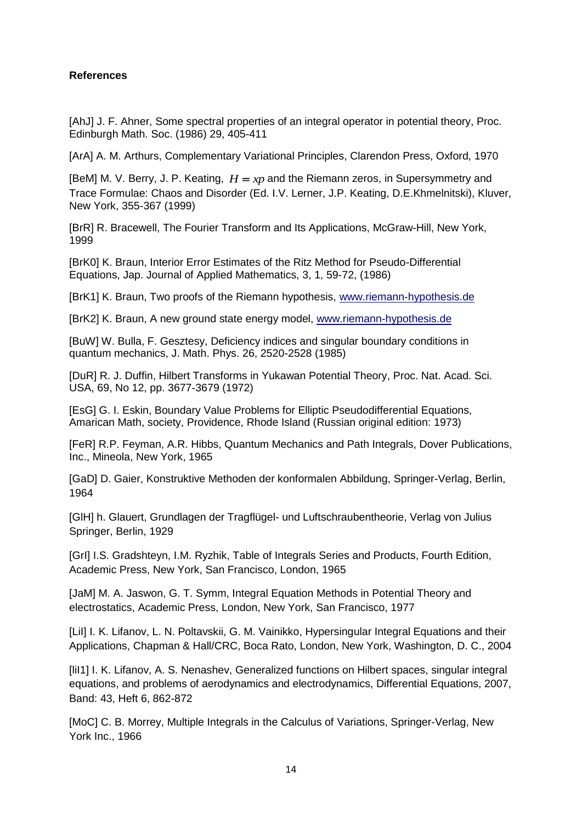# **References**

[AhJ] J. F. Ahner, Some spectral properties of an integral operator in potential theory, Proc. Edinburgh Math. Soc. (1986) 29, 405-411

[ArA] A. M. Arthurs, Complementary Variational Principles, Clarendon Press, Oxford, 1970

[BeM] M. V. Berry, J. P. Keating,  $H = xp$  and the Riemann zeros, in Supersymmetry and Trace Formulae: Chaos and Disorder (Ed. I.V. Lerner, J.P. Keating, D.E.Khmelnitski), Kluver, New York, 355-367 (1999)

[BrR] R. Bracewell, The Fourier Transform and Its Applications, McGraw-Hill, New York, 1999

[BrK0] K. Braun, Interior Error Estimates of the Ritz Method for Pseudo-Differential Equations, Jap. Journal of Applied Mathematics, 3, 1, 59-72, (1986)

[BrK1] K. Braun, Two proofs of the Riemann hypothesis, [www.riemann-hypothesis.de](http://www.riemann-hypothesis.de/)

[BrK2] K. Braun, A new ground state energy model, [www.riemann-hypothesis.de](http://www.riemann-hypothesis.de/)

[BuW] W. Bulla, F. Gesztesy, Deficiency indices and singular boundary conditions in quantum mechanics, J. Math. Phys. 26, 2520-2528 (1985)

[DuR] R. J. Duffin, Hilbert Transforms in Yukawan Potential Theory, Proc. Nat. Acad. Sci. USA, 69, No 12, pp. 3677-3679 (1972)

[EsG] G. I. Eskin, Boundary Value Problems for Elliptic Pseudodifferential Equations, Amarican Math, society, Providence, Rhode Island (Russian original edition: 1973)

[FeR] R.P. Feyman, A.R. Hibbs, Quantum Mechanics and Path Integrals, Dover Publications, Inc., Mineola, New York, 1965

[GaD] D. Gaier, Konstruktive Methoden der konformalen Abbildung, Springer-Verlag, Berlin, 1964

[GlH] h. Glauert, Grundlagen der Tragflügel- und Luftschraubentheorie, Verlag von Julius Springer, Berlin, 1929

[GrI] I.S. Gradshteyn, I.M. Ryzhik, Table of Integrals Series and Products, Fourth Edition, Academic Press, New York, San Francisco, London, 1965

[JaM] M. A. Jaswon, G. T. Symm, Integral Equation Methods in Potential Theory and electrostatics, Academic Press, London, New York, San Francisco, 1977

[Lil] I. K. Lifanov, L. N. Poltavskii, G. M. Vainikko, Hypersingular Integral Equations and their Applications, Chapman & Hall/CRC, Boca Rato, London, New York, Washington, D. C., 2004

[liI1] I. K. Lifanov, A. S. Nenashev, Generalized functions on Hilbert spaces, singular integral equations, and problems of aerodynamics and electrodynamics, Differential Equations, 2007, Band: 43, Heft 6, 862-872

[MoC] C. B. Morrey, Multiple Integrals in the Calculus of Variations, Springer-Verlag, New York Inc., 1966